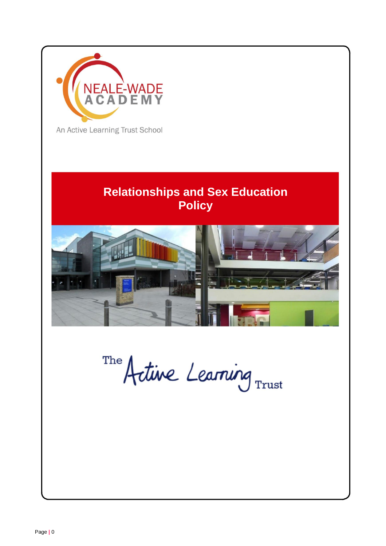

An Active Learning Trust School

# **Relationships and Sex Education Policy**



The Artine Learning Trust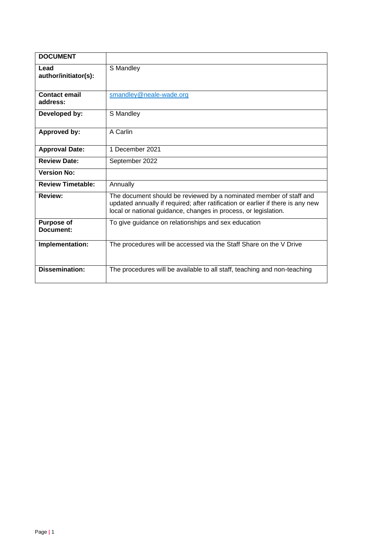| <b>DOCUMENT</b>                  |                                                                                                                                                                                                                          |
|----------------------------------|--------------------------------------------------------------------------------------------------------------------------------------------------------------------------------------------------------------------------|
| Lead<br>author/initiator(s):     | S Mandley                                                                                                                                                                                                                |
| <b>Contact email</b><br>address: | smandley@neale-wade.org                                                                                                                                                                                                  |
| Developed by:                    | S Mandley                                                                                                                                                                                                                |
| Approved by:                     | A Carlin                                                                                                                                                                                                                 |
| <b>Approval Date:</b>            | 1 December 2021                                                                                                                                                                                                          |
| <b>Review Date:</b>              | September 2022                                                                                                                                                                                                           |
| <b>Version No:</b>               |                                                                                                                                                                                                                          |
| <b>Review Timetable:</b>         | Annually                                                                                                                                                                                                                 |
| <b>Review:</b>                   | The document should be reviewed by a nominated member of staff and<br>updated annually if required; after ratification or earlier if there is any new<br>local or national guidance, changes in process, or legislation. |
| <b>Purpose of</b><br>Document:   | To give guidance on relationships and sex education                                                                                                                                                                      |
| Implementation:                  | The procedures will be accessed via the Staff Share on the V Drive                                                                                                                                                       |
| <b>Dissemination:</b>            | The procedures will be available to all staff, teaching and non-teaching                                                                                                                                                 |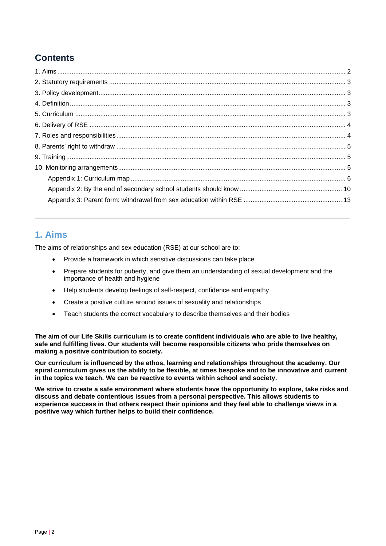## **Contents**

### **1. Aims**

The aims of relationships and sex education (RSE) at our school are to:

- Provide a framework in which sensitive discussions can take place
- Prepare students for puberty, and give them an understanding of sexual development and the importance of health and hygiene
- Help students develop feelings of self-respect, confidence and empathy
- Create a positive culture around issues of sexuality and relationships
- Teach students the correct vocabulary to describe themselves and their bodies

**The aim of our Life Skills curriculum is to create confident individuals who are able to live healthy, safe and fulfilling lives. Our students will become responsible citizens who pride themselves on making a positive contribution to society.** 

**Our curriculum is influenced by the ethos, learning and relationships throughout the academy. Our spiral curriculum gives us the ability to be flexible, at times bespoke and to be innovative and current in the topics we teach. We can be reactive to events within school and society.**

**We strive to create a safe environment where students have the opportunity to explore, take risks and discuss and debate contentious issues from a personal perspective. This allows students to experience success in that others respect their opinions and they feel able to challenge views in a positive way which further helps to build their confidence.**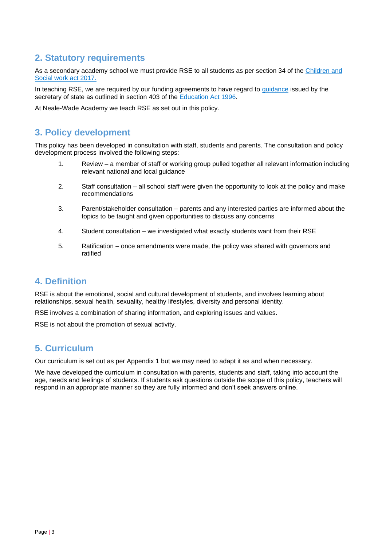### **2. Statutory requirements**

As a secondary academy school we must provide RSE to all students as per section 34 of th[e Children and](http://www.legislation.gov.uk/ukpga/2017/16/section/34/enacted)  [Social work act 2017.](http://www.legislation.gov.uk/ukpga/2017/16/section/34/enacted)

In teaching RSE, we are required by our funding agreements to have regard to [guidance](https://www.gov.uk/government/consultations/relationships-and-sex-education-and-health-education) issued by the secretary of state as outlined in section 403 of the [Education Act 1996.](http://www.legislation.gov.uk/ukpga/1996/56/contents)

At Neale-Wade Academy we teach RSE as set out in this policy.

### **3. Policy development**

This policy has been developed in consultation with staff, students and parents. The consultation and policy development process involved the following steps:

- 1. Review a member of staff or working group pulled together all relevant information including relevant national and local guidance
- 2. Staff consultation all school staff were given the opportunity to look at the policy and make recommendations
- 3. Parent/stakeholder consultation parents and any interested parties are informed about the topics to be taught and given opportunities to discuss any concerns
- 4. Student consultation we investigated what exactly students want from their RSE
- 5. Ratification once amendments were made, the policy was shared with governors and ratified

### **4. Definition**

RSE is about the emotional, social and cultural development of students, and involves learning about relationships, sexual health, sexuality, healthy lifestyles, diversity and personal identity.

RSE involves a combination of sharing information, and exploring issues and values.

RSE is not about the promotion of sexual activity.

### **5. Curriculum**

Our curriculum is set out as per Appendix 1 but we may need to adapt it as and when necessary.

We have developed the curriculum in consultation with parents, students and staff, taking into account the age, needs and feelings of students. If students ask questions outside the scope of this policy, teachers will respond in an appropriate manner so they are fully informed and don't seek answers online.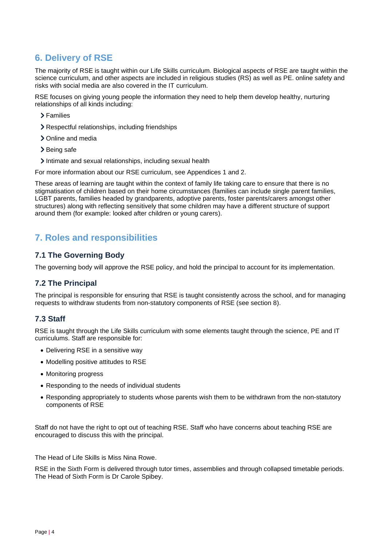### **6. Delivery of RSE**

The majority of RSE is taught within our Life Skills curriculum. Biological aspects of RSE are taught within the science curriculum, and other aspects are included in religious studies (RS) as well as PE. online safety and risks with social media are also covered in the IT curriculum.

RSE focuses on giving young people the information they need to help them develop healthy, nurturing relationships of all kinds including:

- Families
- Respectful relationships, including friendships
- > Online and media
- > Being safe
- Intimate and sexual relationships, including sexual health

For more information about our RSE curriculum, see Appendices 1 and 2.

These areas of learning are taught within the context of family life taking care to ensure that there is no stigmatisation of children based on their home circumstances (families can include single parent families, LGBT parents, families headed by grandparents, adoptive parents, foster parents/carers amongst other structures) along with reflecting sensitively that some children may have a different structure of support around them (for example: looked after children or young carers).

### **7. Roles and responsibilities**

#### **7.1 The Governing Body**

The governing body will approve the RSE policy, and hold the principal to account for its implementation.

#### **7.2 The Principal**

The principal is responsible for ensuring that RSE is taught consistently across the school, and for managing requests to withdraw students from non-statutory components of RSE (see section 8).

#### **7.3 Staff**

RSE is taught through the Life Skills curriculum with some elements taught through the science, PE and IT curriculums. Staff are responsible for:

- Delivering RSE in a sensitive way
- Modelling positive attitudes to RSE
- Monitoring progress
- Responding to the needs of individual students
- Responding appropriately to students whose parents wish them to be withdrawn from the non-statutory components of RSE

Staff do not have the right to opt out of teaching RSE. Staff who have concerns about teaching RSE are encouraged to discuss this with the principal.

The Head of Life Skills is Miss Nina Rowe.

RSE in the Sixth Form is delivered through tutor times, assemblies and through collapsed timetable periods. The Head of Sixth Form is Dr Carole Spibey.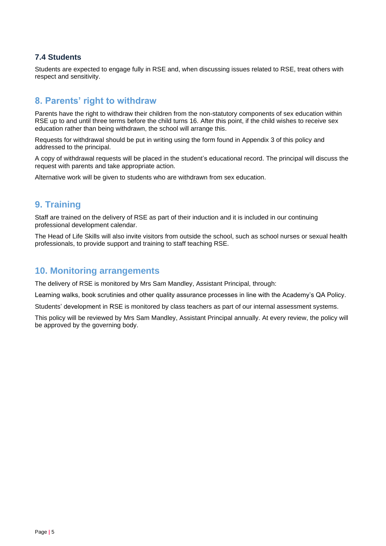#### **7.4 Students**

Students are expected to engage fully in RSE and, when discussing issues related to RSE, treat others with respect and sensitivity.

### **8. Parents' right to withdraw**

Parents have the right to withdraw their children from the non-statutory components of sex education within RSE up to and until three terms before the child turns 16. After this point, if the child wishes to receive sex education rather than being withdrawn, the school will arrange this.

Requests for withdrawal should be put in writing using the form found in Appendix 3 of this policy and addressed to the principal.

A copy of withdrawal requests will be placed in the student's educational record. The principal will discuss the request with parents and take appropriate action.

Alternative work will be given to students who are withdrawn from sex education.

### **9. Training**

Staff are trained on the delivery of RSE as part of their induction and it is included in our continuing professional development calendar.

The Head of Life Skills will also invite visitors from outside the school, such as school nurses or sexual health professionals, to provide support and training to staff teaching RSE.

#### **10. Monitoring arrangements**

The delivery of RSE is monitored by Mrs Sam Mandley, Assistant Principal, through:

Learning walks, book scrutinies and other quality assurance processes in line with the Academy's QA Policy.

Students' development in RSE is monitored by class teachers as part of our internal assessment systems.

This policy will be reviewed by Mrs Sam Mandley, Assistant Principal annually. At every review, the policy will be approved by the governing body.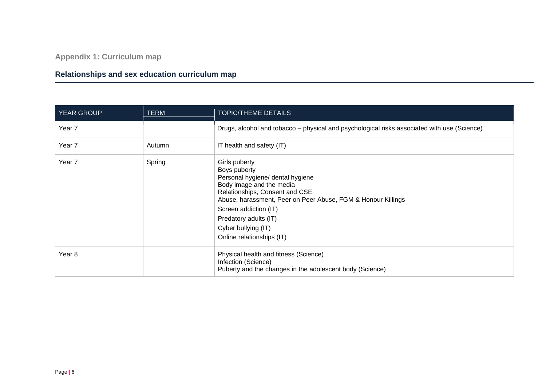**Appendix 1: Curriculum map**

## **Relationships and sex education curriculum map**

| <b>YEAR GROUP</b> | <b>TERM</b> | TOPIC/THEME DETAILS                                                                                                                                                                                                                                                                                   |  |
|-------------------|-------------|-------------------------------------------------------------------------------------------------------------------------------------------------------------------------------------------------------------------------------------------------------------------------------------------------------|--|
| Year <sub>7</sub> |             | Drugs, alcohol and tobacco – physical and psychological risks associated with use (Science)                                                                                                                                                                                                           |  |
| Year 7            | Autumn      | IT health and safety (IT)                                                                                                                                                                                                                                                                             |  |
| Year 7            | Spring      | Girls puberty<br>Boys puberty<br>Personal hygiene/ dental hygiene<br>Body image and the media<br>Relationships, Consent and CSE<br>Abuse, harassment, Peer on Peer Abuse, FGM & Honour Killings<br>Screen addiction (IT)<br>Predatory adults (IT)<br>Cyber bullying (IT)<br>Online relationships (IT) |  |
| Year 8            |             | Physical health and fitness (Science)<br>Infection (Science)<br>Puberty and the changes in the adolescent body (Science)                                                                                                                                                                              |  |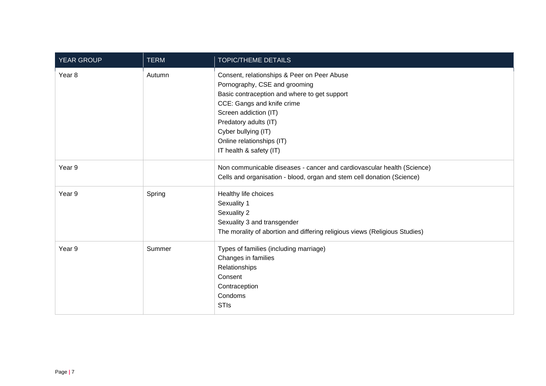| YEAR GROUP | <b>TERM</b> | <b>TOPIC/THEME DETAILS</b>                                                                                                                                                                                                                                                                  |
|------------|-------------|---------------------------------------------------------------------------------------------------------------------------------------------------------------------------------------------------------------------------------------------------------------------------------------------|
| Year 8     | Autumn      | Consent, relationships & Peer on Peer Abuse<br>Pornography, CSE and grooming<br>Basic contraception and where to get support<br>CCE: Gangs and knife crime<br>Screen addiction (IT)<br>Predatory adults (IT)<br>Cyber bullying (IT)<br>Online relationships (IT)<br>IT health & safety (IT) |
| Year 9     |             | Non communicable diseases - cancer and cardiovascular health (Science)<br>Cells and organisation - blood, organ and stem cell donation (Science)                                                                                                                                            |
| Year 9     | Spring      | Healthy life choices<br>Sexuality 1<br>Sexuality 2<br>Sexuality 3 and transgender<br>The morality of abortion and differing religious views (Religious Studies)                                                                                                                             |
| Year 9     | Summer      | Types of families (including marriage)<br>Changes in families<br>Relationships<br>Consent<br>Contraception<br>Condoms<br><b>STIs</b>                                                                                                                                                        |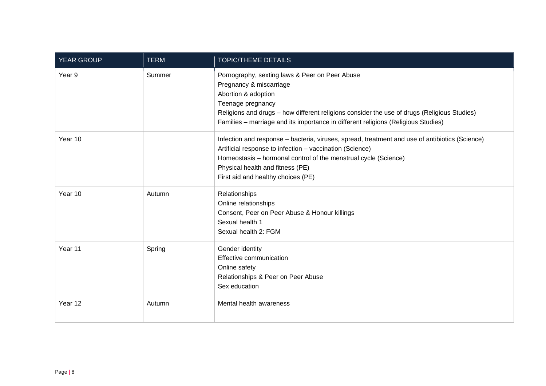| <b>YEAR GROUP</b> | <b>TERM</b> | <b>TOPIC/THEME DETAILS</b>                                                                                                                                                                                                                                                                                |
|-------------------|-------------|-----------------------------------------------------------------------------------------------------------------------------------------------------------------------------------------------------------------------------------------------------------------------------------------------------------|
| Year 9            | Summer      | Pornography, sexting laws & Peer on Peer Abuse<br>Pregnancy & miscarriage<br>Abortion & adoption<br>Teenage pregnancy<br>Religions and drugs - how different religions consider the use of drugs (Religious Studies)<br>Families - marriage and its importance in different religions (Religious Studies) |
| Year 10           |             | Infection and response - bacteria, viruses, spread, treatment and use of antibiotics (Science)<br>Artificial response to infection - vaccination (Science)<br>Homeostasis - hormonal control of the menstrual cycle (Science)<br>Physical health and fitness (PE)<br>First aid and healthy choices (PE)   |
| Year 10           | Autumn      | Relationships<br>Online relationships<br>Consent, Peer on Peer Abuse & Honour killings<br>Sexual health 1<br>Sexual health 2: FGM                                                                                                                                                                         |
| Year 11           | Spring      | Gender identity<br>Effective communication<br>Online safety<br>Relationships & Peer on Peer Abuse<br>Sex education                                                                                                                                                                                        |
| Year 12           | Autumn      | Mental health awareness                                                                                                                                                                                                                                                                                   |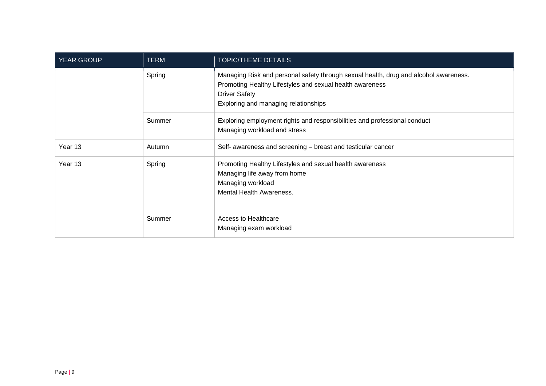| <b>YEAR GROUP</b> | <b>TERM</b> | <b>TOPIC/THEME DETAILS</b>                                                                                                                                                                                       |  |
|-------------------|-------------|------------------------------------------------------------------------------------------------------------------------------------------------------------------------------------------------------------------|--|
|                   | Spring      | Managing Risk and personal safety through sexual health, drug and alcohol awareness.<br>Promoting Healthy Lifestyles and sexual health awareness<br><b>Driver Safety</b><br>Exploring and managing relationships |  |
|                   | Summer      | Exploring employment rights and responsibilities and professional conduct<br>Managing workload and stress                                                                                                        |  |
| Year 13           | Autumn      | Self- awareness and screening - breast and testicular cancer                                                                                                                                                     |  |
| Year 13           | Spring      | Promoting Healthy Lifestyles and sexual health awareness<br>Managing life away from home<br>Managing workload<br>Mental Health Awareness.                                                                        |  |
|                   | Summer      | Access to Healthcare<br>Managing exam workload                                                                                                                                                                   |  |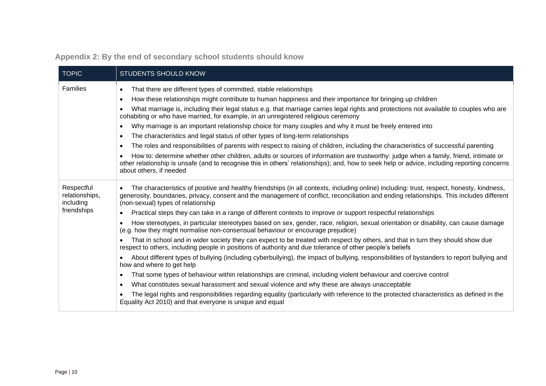| <b>TOPIC</b>                                             | <b>STUDENTS SHOULD KNOW</b>                                                                                                                                                                                                                                                                                                                                                                                                                                                                                                                                                                                                                                                                                                                                                                                                                                                                                                                                                                                                                                                                                                                                                                                                                                                                                                                                                                                                                                                                                                                                                                                  |
|----------------------------------------------------------|--------------------------------------------------------------------------------------------------------------------------------------------------------------------------------------------------------------------------------------------------------------------------------------------------------------------------------------------------------------------------------------------------------------------------------------------------------------------------------------------------------------------------------------------------------------------------------------------------------------------------------------------------------------------------------------------------------------------------------------------------------------------------------------------------------------------------------------------------------------------------------------------------------------------------------------------------------------------------------------------------------------------------------------------------------------------------------------------------------------------------------------------------------------------------------------------------------------------------------------------------------------------------------------------------------------------------------------------------------------------------------------------------------------------------------------------------------------------------------------------------------------------------------------------------------------------------------------------------------------|
| Families                                                 | That there are different types of committed, stable relationships<br>$\bullet$<br>How these relationships might contribute to human happiness and their importance for bringing up children<br>$\bullet$<br>What marriage is, including their legal status e.g. that marriage carries legal rights and protections not available to couples who are<br>$\bullet$<br>cohabiting or who have married, for example, in an unregistered religious ceremony<br>Why marriage is an important relationship choice for many couples and why it must be freely entered into<br>$\bullet$<br>The characteristics and legal status of other types of long-term relationships<br>$\bullet$<br>The roles and responsibilities of parents with respect to raising of children, including the characteristics of successful parenting<br>$\bullet$<br>How to: determine whether other children, adults or sources of information are trustworthy: judge when a family, friend, intimate or<br>other relationship is unsafe (and to recognise this in others' relationships); and, how to seek help or advice, including reporting concerns<br>about others, if needed                                                                                                                                                                                                                                                                                                                                                                                                                                                       |
| Respectful<br>relationships,<br>including<br>friendships | The characteristics of positive and healthy friendships (in all contexts, including online) including: trust, respect, honesty, kindness,<br>$\bullet$<br>generosity, boundaries, privacy, consent and the management of conflict, reconciliation and ending relationships. This includes different<br>(non-sexual) types of relationship<br>Practical steps they can take in a range of different contexts to improve or support respectful relationships<br>$\bullet$<br>How stereotypes, in particular stereotypes based on sex, gender, race, religion, sexual orientation or disability, can cause damage<br>$\bullet$<br>(e.g. how they might normalise non-consensual behaviour or encourage prejudice)<br>That in school and in wider society they can expect to be treated with respect by others, and that in turn they should show due<br>respect to others, including people in positions of authority and due tolerance of other people's beliefs<br>About different types of bullying (including cyberbullying), the impact of bullying, responsibilities of bystanders to report bullying and<br>$\bullet$<br>how and where to get help<br>That some types of behaviour within relationships are criminal, including violent behaviour and coercive control<br>$\bullet$<br>What constitutes sexual harassment and sexual violence and why these are always unacceptable<br>$\bullet$<br>The legal rights and responsibilities regarding equality (particularly with reference to the protected characteristics as defined in the<br>Equality Act 2010) and that everyone is unique and equal |

## **Appendix 2: By the end of secondary school students should know**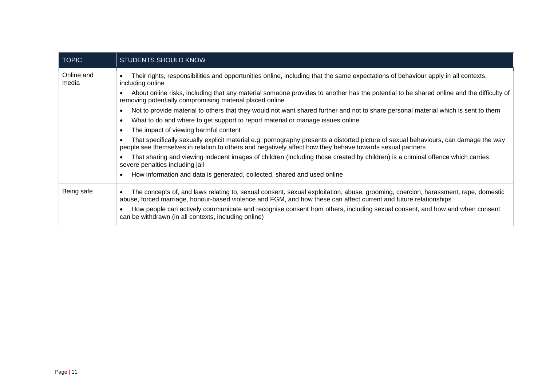| <b>TOPIC</b>        | <b>STUDENTS SHOULD KNOW</b>                                                                                                                                                                                                                           |
|---------------------|-------------------------------------------------------------------------------------------------------------------------------------------------------------------------------------------------------------------------------------------------------|
| Online and<br>media | Their rights, responsibilities and opportunities online, including that the same expectations of behaviour apply in all contexts,<br>including online                                                                                                 |
|                     | About online risks, including that any material someone provides to another has the potential to be shared online and the difficulty of<br>removing potentially compromising material placed online                                                   |
|                     | Not to provide material to others that they would not want shared further and not to share personal material which is sent to them<br>$\bullet$                                                                                                       |
|                     | What to do and where to get support to report material or manage issues online                                                                                                                                                                        |
|                     | The impact of viewing harmful content<br>$\bullet$                                                                                                                                                                                                    |
|                     | That specifically sexually explicit material e.g. pornography presents a distorted picture of sexual behaviours, can damage the way<br>people see themselves in relation to others and negatively affect how they behave towards sexual partners      |
|                     | That sharing and viewing indecent images of children (including those created by children) is a criminal offence which carries<br>severe penalties including jail                                                                                     |
|                     | How information and data is generated, collected, shared and used online<br>$\bullet$                                                                                                                                                                 |
| Being safe          | The concepts of, and laws relating to, sexual consent, sexual exploitation, abuse, grooming, coercion, harassment, rape, domestic<br>abuse, forced marriage, honour-based violence and FGM, and how these can affect current and future relationships |
|                     | How people can actively communicate and recognise consent from others, including sexual consent, and how and when consent<br>can be withdrawn (in all contexts, including online)                                                                     |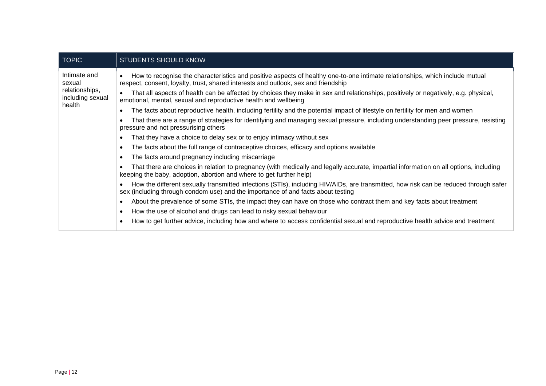| <b>TOPIC</b>                                                           | <b>STUDENTS SHOULD KNOW</b>                                                                                                                                                                                                     |
|------------------------------------------------------------------------|---------------------------------------------------------------------------------------------------------------------------------------------------------------------------------------------------------------------------------|
| Intimate and<br>sexual<br>relationships,<br>including sexual<br>health | How to recognise the characteristics and positive aspects of healthy one-to-one intimate relationships, which include mutual<br>$\bullet$<br>respect, consent, loyalty, trust, shared interests and outlook, sex and friendship |
|                                                                        | That all aspects of health can be affected by choices they make in sex and relationships, positively or negatively, e.g. physical,<br>$\bullet$<br>emotional, mental, sexual and reproductive health and wellbeing              |
|                                                                        | The facts about reproductive health, including fertility and the potential impact of lifestyle on fertility for men and women                                                                                                   |
|                                                                        | That there are a range of strategies for identifying and managing sexual pressure, including understanding peer pressure, resisting<br>pressure and not pressurising others                                                     |
|                                                                        | That they have a choice to delay sex or to enjoy intimacy without sex                                                                                                                                                           |
|                                                                        | The facts about the full range of contraceptive choices, efficacy and options available<br>$\bullet$                                                                                                                            |
|                                                                        | The facts around pregnancy including miscarriage<br>$\bullet$                                                                                                                                                                   |
|                                                                        | That there are choices in relation to pregnancy (with medically and legally accurate, impartial information on all options, including<br>keeping the baby, adoption, abortion and where to get further help)                    |
|                                                                        | How the different sexually transmitted infections (STIs), including HIV/AIDs, are transmitted, how risk can be reduced through safer<br>sex (including through condom use) and the importance of and facts about testing        |
|                                                                        | About the prevalence of some STIs, the impact they can have on those who contract them and key facts about treatment<br>$\bullet$                                                                                               |
|                                                                        | How the use of alcohol and drugs can lead to risky sexual behaviour<br>$\bullet$                                                                                                                                                |
|                                                                        | How to get further advice, including how and where to access confidential sexual and reproductive health advice and treatment<br>$\bullet$                                                                                      |